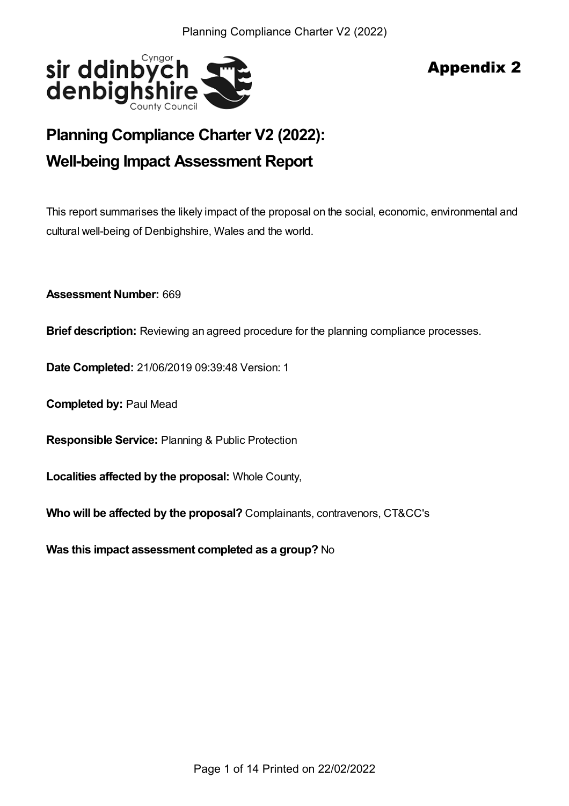

# Appendix 2

# **Planning Compliance Charter V2 (2022): Well-being Impact Assessment Report**

This report summarises the likely impact of the proposal on the social, economic, environmental and cultural well-being of Denbighshire, Wales and the world.

**Assessment Number:** 669

**Brief description:** Reviewing an agreed procedure for the planning compliance processes.

**Date Completed:** 21/06/2019 09:39:48 Version: 1

**Completed by:** Paul Mead

**Responsible Service:** Planning & Public Protection

**Localities affected by the proposal:** Whole County,

**Who will be affected by the proposal?** Complainants, contravenors, CT&CC's

**Was this impact assessment completed as a group?** No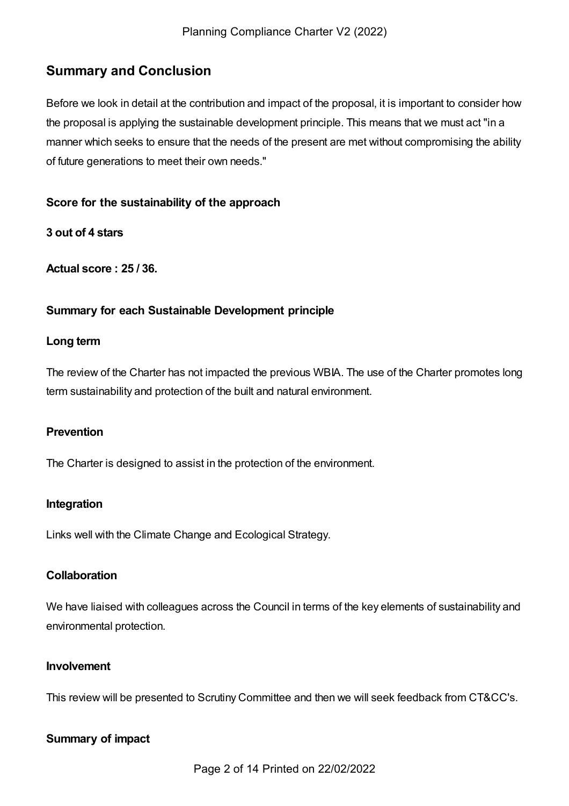## **Summary and Conclusion**

Before we look in detail at the contribution and impact of the proposal, it is important to consider how the proposal is applying the sustainable development principle. This means that we must act "in a manner which seeks to ensure that the needs of the present are met without compromising the ability of future generations to meet their own needs."

#### **Score for the sustainability of the approach**

**3 out of 4 stars**

**Actual score : 25 / 36.**

## **Summary for each Sustainable Development principle**

#### **Long term**

The review of the Charter has not impacted the previous WBIA. The use of the Charter promotes long term sustainability and protection of the built and natural environment.

#### **Prevention**

The Charter is designed to assist in the protection of the environment.

#### **Integration**

Links well with the Climate Change and Ecological Strategy.

#### **Collaboration**

We have liaised with colleagues across the Council in terms of the key elements of sustainability and environmental protection.

#### **Involvement**

This review will be presented to Scrutiny Committee and then we will seek feedback from CT&CC's.

#### **Summary of impact**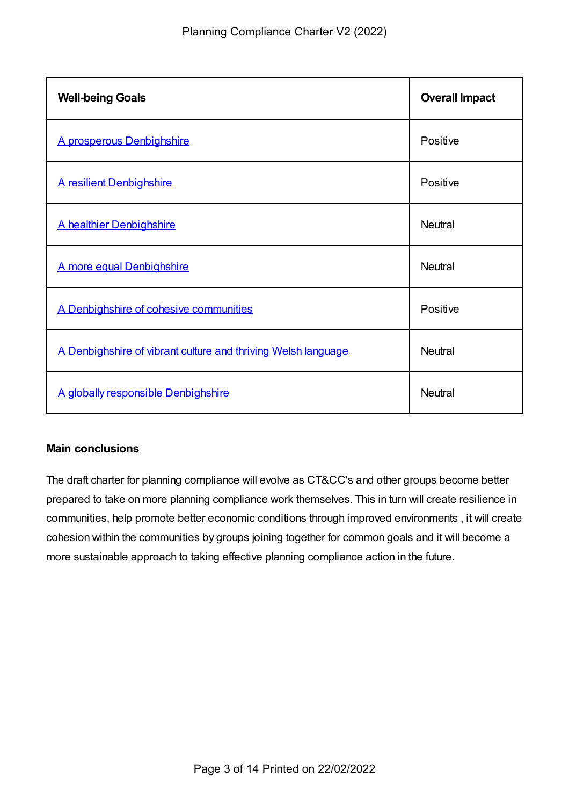| <b>Well-being Goals</b>                                       | <b>Overall Impact</b> |
|---------------------------------------------------------------|-----------------------|
| A prosperous Denbighshire                                     | Positive              |
| A resilient Denbighshire                                      | Positive              |
| A healthier Denbighshire                                      | <b>Neutral</b>        |
| A more equal Denbighshire                                     | <b>Neutral</b>        |
| A Denbighshire of cohesive communities                        | Positive              |
| A Denbighshire of vibrant culture and thriving Welsh language | <b>Neutral</b>        |
| A globally responsible Denbighshire                           | <b>Neutral</b>        |

## **Main conclusions**

The draft charter for planning compliance will evolve as CT&CC's and other groups become better prepared to take on more planning compliance work themselves. This in turn will create resilience in communities, help promote better economic conditions through improved environments , it will create cohesion within the communities by groups joining together for common goals and it will become a more sustainable approach to taking effective planning compliance action in the future.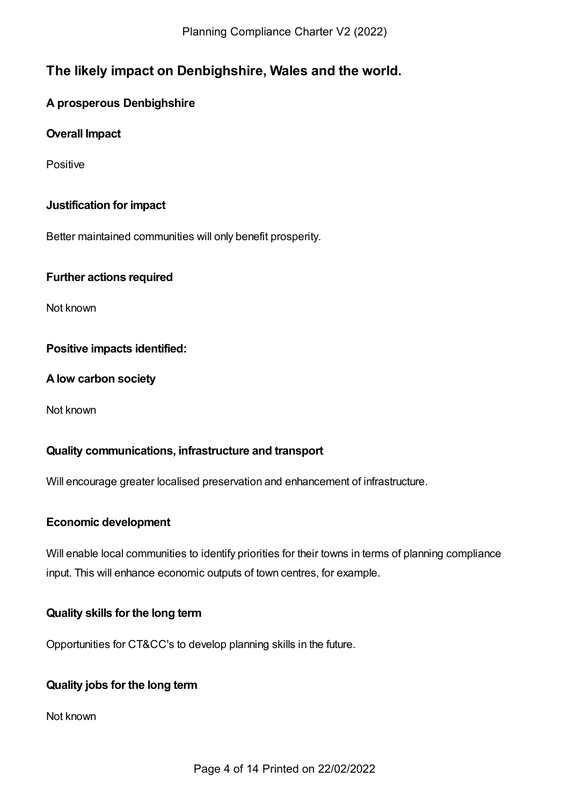## **The likely impact on Denbighshire, Wales and the world.**

## <span id="page-3-0"></span>**A prosperous Denbighshire**

## **Overall Impact**

**Positive** 

## **Justification for impact**

Better maintained communities will only benefit prosperity.

#### **Further actions required**

Not known

## **Positive impacts identified:**

#### **Alow carbon society**

Not known

#### **Quality communications, infrastructure and transport**

Will encourage greater localised preservation and enhancement of infrastructure.

#### **Economic development**

Will enable local communities to identify priorities for their towns in terms of planning compliance input. This will enhance economic outputs of town centres, for example.

#### **Quality skills for the long term**

Opportunities for CT&CC's to develop planning skills in the future.

#### **Quality jobs for the long term**

Not known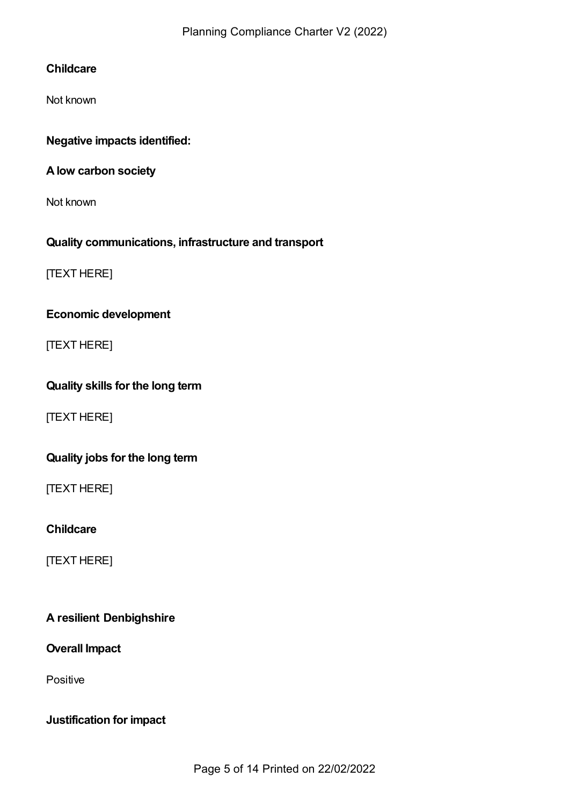## **Childcare**

Not known

## **Negative impacts identified:**

## **Alow carbon society**

Not known

## **Quality communications, infrastructure and transport**

[TEXT HERE]

## **Economic development**

[TEXT HERE]

## **Quality skills for the long term**

[TEXT HERE]

## **Quality jobs for the long term**

[TEXT HERE]

## **Childcare**

[TEXT HERE]

## <span id="page-4-0"></span>**A resilient Denbighshire**

#### **Overall Impact**

Positive

## **Justification for impact**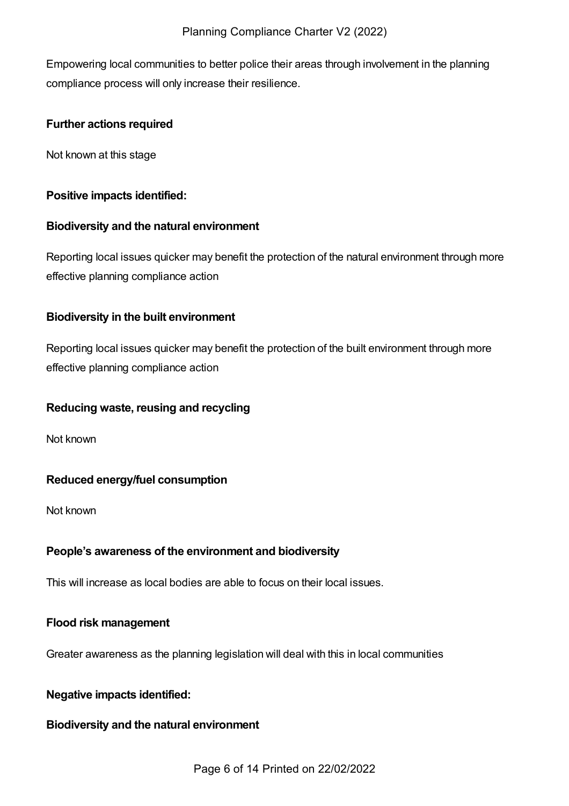Empowering local communities to better police their areas through involvement in the planning compliance process will only increase their resilience.

## **Further actions required**

Not known at this stage

## **Positive impacts identified:**

## **Biodiversity and the natural environment**

Reporting local issues quicker may benefit the protection of the natural environment through more effective planning compliance action

## **Biodiversity in the built environment**

Reporting local issues quicker may benefit the protection of the built environment through more effective planning compliance action

## **Reducing waste, reusing and recycling**

Not known

## **Reduced energy/fuel consumption**

Not known

## **People's awareness of the environment and biodiversity**

This will increase as local bodies are able to focus on their local issues.

## **Flood risk management**

Greater awareness as the planning legislation will deal with this in local communities

## **Negative impacts identified:**

## **Biodiversity and the natural environment**

Page 6 of 14 Printed on 22/02/2022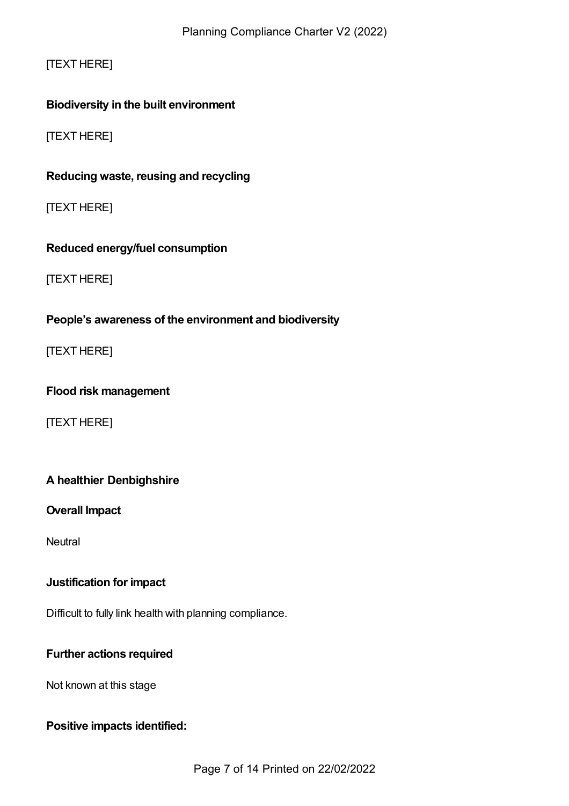## [TEXT HERE]

## **Biodiversity in the built environment**

[TEXT HERE]

## **Reducing waste, reusing and recycling**

[TEXT HERE]

## **Reduced energy/fuel consumption**

[TEXT HERE]

## **People's awareness of the environment and biodiversity**

[TEXT HERE]

#### **Flood risk management**

[TEXT HERE]

## <span id="page-6-0"></span>**A healthier Denbighshire**

## **Overall Impact**

**Neutral** 

#### **Justification for impact**

Difficult to fully link health with planning compliance.

#### **Further actions required**

Not known at this stage

#### **Positive impacts identified:**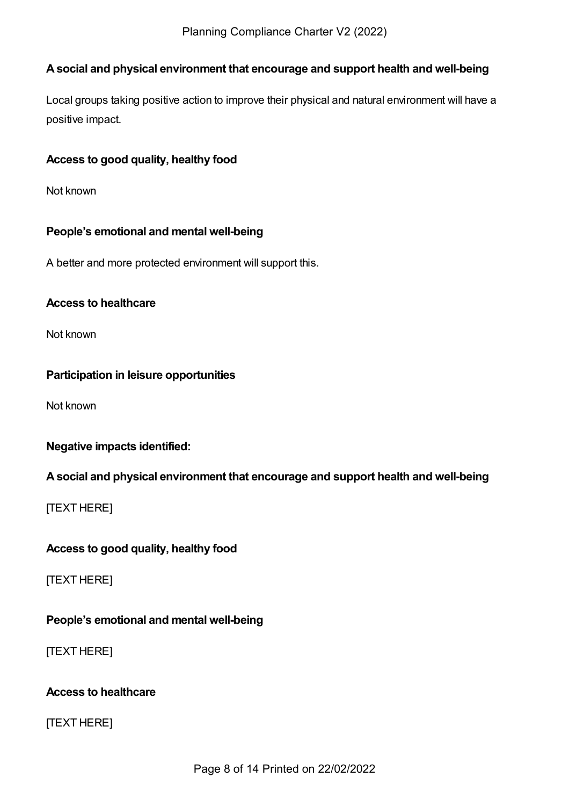## **Asocial and physical environment that encourage and support health and well-being**

Local groups taking positive action to improve their physical and natural environment will have a positive impact.

## **Access to good quality, healthy food**

Not known

## **People's emotional and mental well-being**

A better and more protected environment will support this.

#### **Access to healthcare**

Not known

#### **Participation in leisure opportunities**

Not known

## **Negative impacts identified:**

#### **Asocial and physical environment that encourage and support health and well-being**

**ITEXT HEREI** 

#### **Access to good quality, healthy food**

[TEXT HERE]

## **People's emotional and mental well-being**

[TEXT HERE]

#### **Access to healthcare**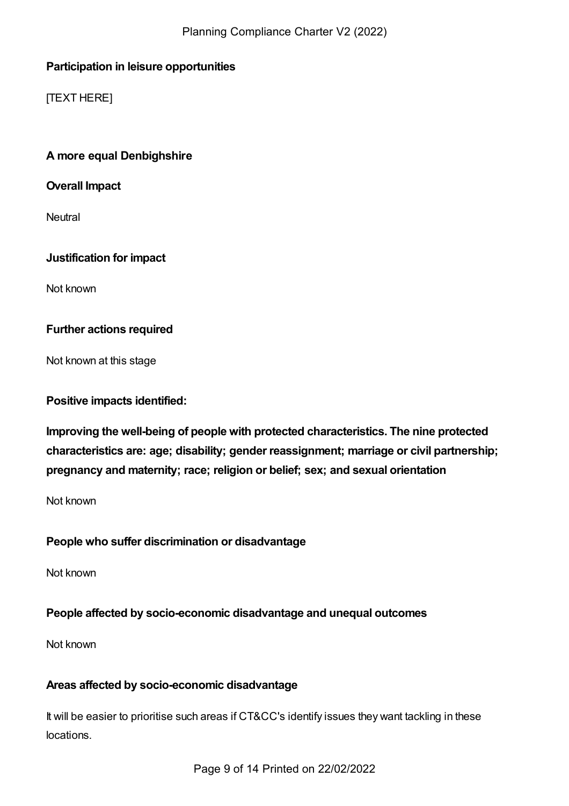## **Participation in leisure opportunities**

[TEXT HERE]

## <span id="page-8-0"></span>**A more equal Denbighshire**

**Overall Impact**

**Neutral** 

## **Justification for impact**

Not known

## **Further actions required**

Not known at this stage

**Positive impacts identified:**

**Improving the well-being of people with protected characteristics. The nine protected characteristics are: age; disability; gender reassignment; marriage or civil partnership; pregnancy and maternity; race; religion or belief; sex; and sexual orientation**

Not known

## **People who suffer discrimination or disadvantage**

Not known

## **People affected by socio-economic disadvantage and unequal outcomes**

Not known

## **Areas affected by socio-economic disadvantage**

It will be easier to prioritise such areas if CT&CC's identify issues they want tackling in these locations.

Page 9 of 14 Printed on 22/02/2022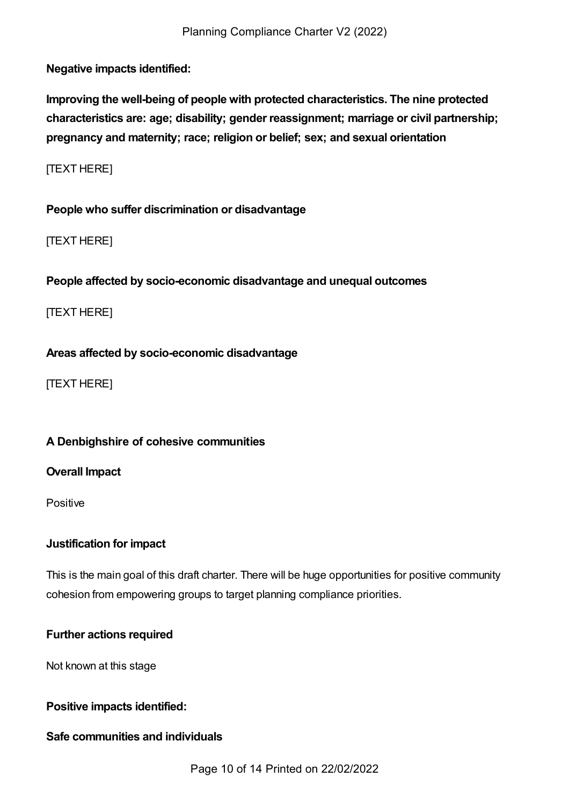**Negative impacts identified:**

**Improving the well-being of people with protected characteristics. The nine protected characteristics are: age; disability; gender reassignment; marriage or civil partnership; pregnancy and maternity; race; religion or belief; sex; and sexual orientation**

[TEXT HERE]

**People who suffer discrimination or disadvantage**

[TEXT HERE]

**People affected by socio-economic disadvantage and unequal outcomes**

[TEXT HERE]

**Areas affected by socio-economic disadvantage**

[TEXT HERE]

#### <span id="page-9-0"></span>**A Denbighshire of cohesive communities**

**Overall Impact**

Positive

#### **Justification for impact**

This is the main goal of this draft charter. There will be huge opportunities for positive community cohesion from empowering groups to target planning compliance priorities.

## **Further actions required**

Not known at this stage

#### **Positive impacts identified:**

#### **Safe communities and individuals**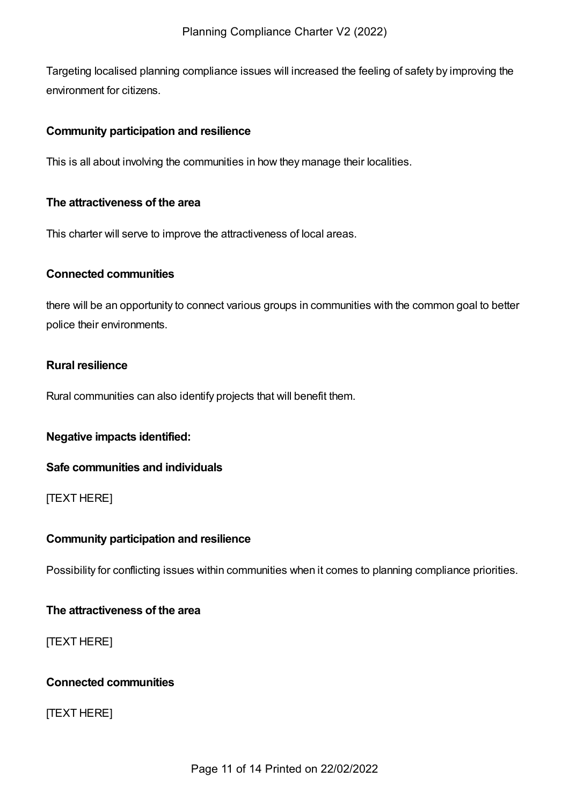Targeting localised planning compliance issues will increased the feeling of safety by improving the environment for citizens.

#### **Community participation and resilience**

This is all about involving the communities in how they manage their localities.

#### **The attractiveness of the area**

This charter will serve to improve the attractiveness of local areas.

#### **Connected communities**

there will be an opportunity to connect various groups in communities with the common goal to better police their environments.

#### **Rural resilience**

Rural communities can also identify projects that will benefit them.

#### **Negative impacts identified:**

#### **Safe communities and individuals**

#### [TEXT HERE]

#### **Community participation and resilience**

Possibility for conflicting issues within communities when it comes to planning compliance priorities.

#### **The attractiveness of the area**

#### [TEXT HERE]

## **Connected communities**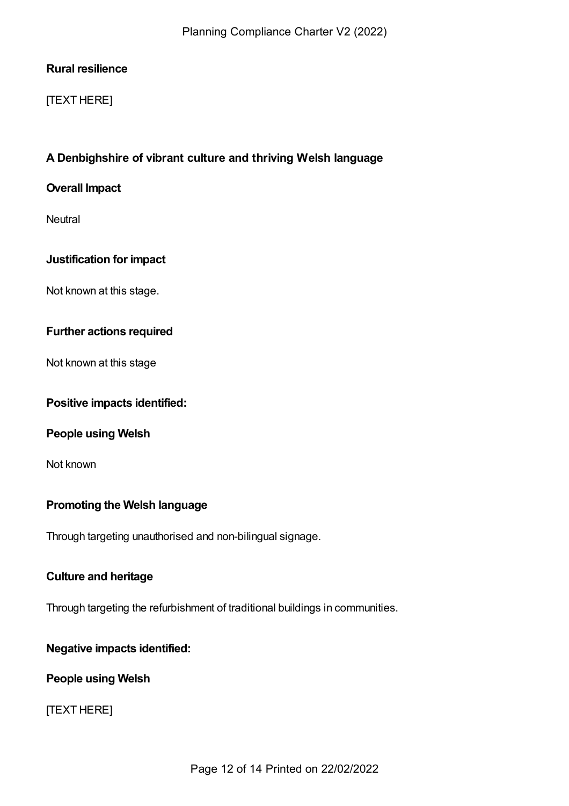## **Rural resilience**

## [TEXT HERE]

## <span id="page-11-0"></span>**A Denbighshire of vibrant culture and thriving Welsh language**

#### **Overall Impact**

**Neutral** 

## **Justification for impact**

Not known at this stage.

## **Further actions required**

Not known at this stage

#### **Positive impacts identified:**

#### **People using Welsh**

Not known

#### **Promoting the Welsh language**

Through targeting unauthorised and non-bilingual signage.

#### **Culture and heritage**

Through targeting the refurbishment of traditional buildings in communities.

#### **Negative impacts identified:**

#### **People using Welsh**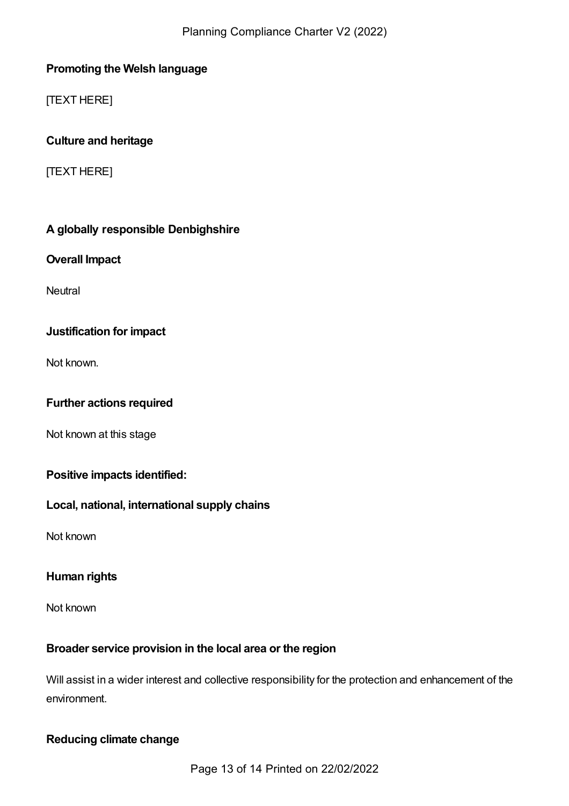## **Promoting the Welsh language**

[TEXT HERE]

## **Culture and heritage**

[TEXT HERE]

## <span id="page-12-0"></span>**A globally responsible Denbighshire**

## **Overall Impact**

**Neutral** 

## **Justification for impact**

Not known.

## **Further actions required**

Not known at this stage

## **Positive impacts identified:**

## **Local, national, international supply chains**

Not known

## **Human rights**

Not known

## **Broader service provision in the local area or the region**

Will assist in a wider interest and collective responsibility for the protection and enhancement of the environment.

## **Reducing climate change**